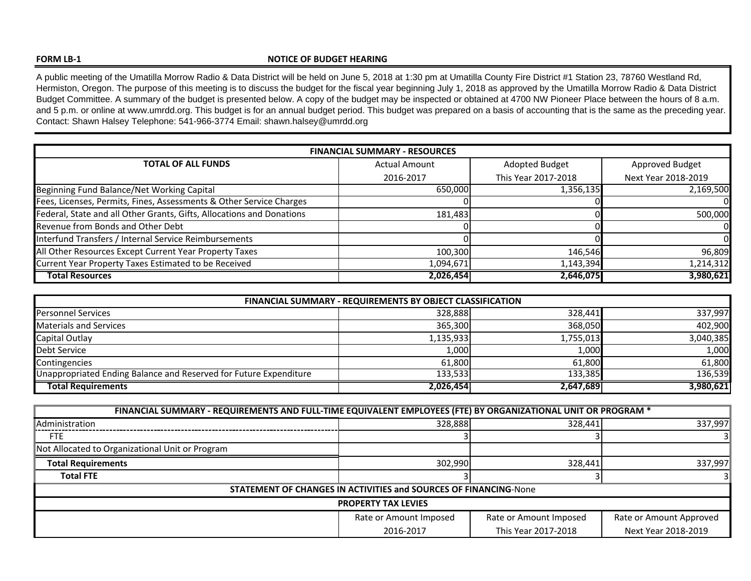## **FORM LB‐1**

## **NOTICE OF BUDGET HEARING**

A public meeting of the Umatilla Morrow Radio & Data District will be held on June 5, 2018 at 1:30 pm at Umatilla County Fire District #1 Station 23, 78760 Westland Rd, Hermiston, Oregon. The purpose of this meeting is to discuss the budget for the fiscal year beginning July 1, 2018 as approved by the Umatilla Morrow Radio & Data District Budget Committee. A summary of the budget is presented below. A copy of the budget may be inspected or obtained at 4700 NW Pioneer Place between the hours of 8 a.m. and 5 p.m. or online at www.umrdd.org. This budget is for an annual budget period. This budget was prepared on a basis of accounting that is the same as the preceding year. Contact: Shawn Halsey Telephone: 541-966-3774 Email: shawn.halsey@umrdd.org

| <b>FINANCIAL SUMMARY - RESOURCES</b>                                  |                      |                     |                     |  |
|-----------------------------------------------------------------------|----------------------|---------------------|---------------------|--|
| <b>TOTAL OF ALL FUNDS</b>                                             | <b>Actual Amount</b> | Adopted Budget      | Approved Budget     |  |
|                                                                       | 2016-2017            | This Year 2017-2018 | Next Year 2018-2019 |  |
| Beginning Fund Balance/Net Working Capital                            | 650.000              | 1,356,135           | 2,169,500           |  |
| Fees, Licenses, Permits, Fines, Assessments & Other Service Charges   |                      |                     |                     |  |
| Federal, State and all Other Grants, Gifts, Allocations and Donations | 181,483              |                     | 500,000             |  |
| Revenue from Bonds and Other Debt                                     |                      |                     |                     |  |
| Interfund Transfers / Internal Service Reimbursements                 |                      |                     |                     |  |
| All Other Resources Except Current Year Property Taxes                | 100,300              | 146,546             | 96,809              |  |
| Current Year Property Taxes Estimated to be Received                  | 1,094,671            | 1,143,394           | 1,214,312           |  |
| <b>Total Resources</b>                                                | 2,026,454            | 2,646,075           | 3,980,621           |  |

| FINANCIAL SUMMARY - REQUIREMENTS BY OBJECT CLASSIFICATION         |           |           |           |  |  |
|-------------------------------------------------------------------|-----------|-----------|-----------|--|--|
| <b>Personnel Services</b>                                         | 328,888   | 328,441   | 337,997   |  |  |
| <b>Materials and Services</b>                                     | 365,300   | 368,050   | 402,900   |  |  |
| Capital Outlay                                                    | 1,135,933 | 1,755,013 | 3,040,385 |  |  |
| Debt Service                                                      | 1.000 l   | 1,000     | 1,000     |  |  |
| Contingencies                                                     | 61.800    | 61.800    | 61,800    |  |  |
| Unappropriated Ending Balance and Reserved for Future Expenditure | 133.533   | 133.385   | 136,539   |  |  |
| <b>Total Requirements</b>                                         | 2,026,454 | 2,647,689 | 3,980,621 |  |  |

| FINANCIAL SUMMARY - REQUIREMENTS AND FULL-TIME EQUIVALENT EMPLOYEES (FTE) BY ORGANIZATIONAL UNIT OR PROGRAM * |                        |                        |                         |  |
|---------------------------------------------------------------------------------------------------------------|------------------------|------------------------|-------------------------|--|
| <b>Administration</b>                                                                                         | 328,888                | 328.441                | 337,997                 |  |
| FTE.                                                                                                          |                        |                        |                         |  |
| Not Allocated to Organizational Unit or Program                                                               |                        |                        |                         |  |
| <b>Total Requirements</b>                                                                                     | 302.990                | 328,441                | 337,997                 |  |
| <b>Total FTE</b>                                                                                              |                        |                        |                         |  |
| <b>STATEMENT OF CHANGES IN ACTIVITIES and SOURCES OF FINANCING-None</b>                                       |                        |                        |                         |  |
| <b>PROPERTY TAX LEVIES</b>                                                                                    |                        |                        |                         |  |
|                                                                                                               | Rate or Amount Imposed | Rate or Amount Imposed | Rate or Amount Approved |  |
|                                                                                                               | 2016-2017              | This Year 2017-2018    | Next Year 2018-2019     |  |